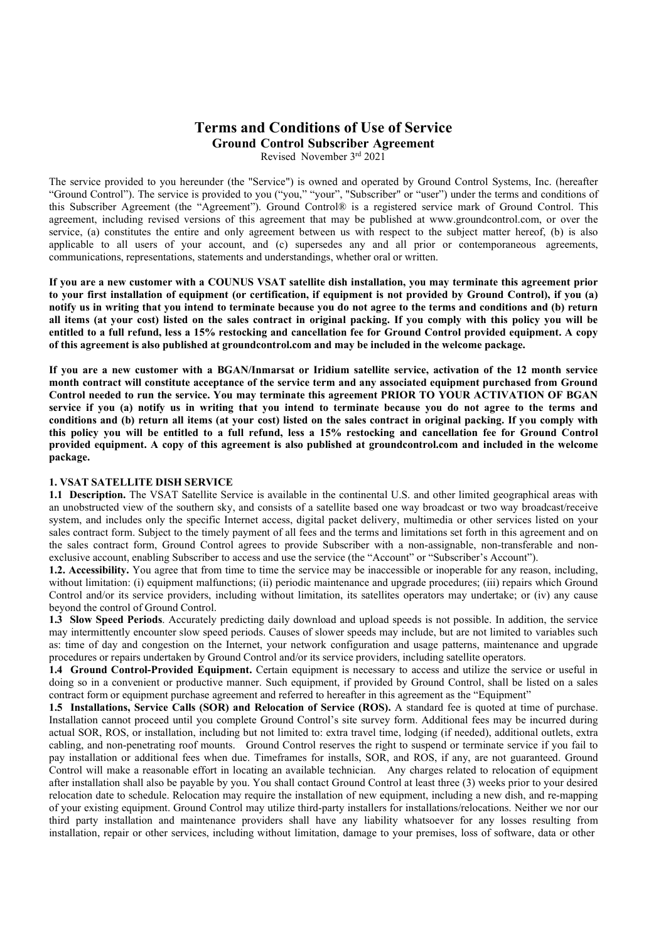# Terms and Conditions of Use of Service Ground Control Subscriber Agreement

Revised November 3rd 2021

The service provided to you hereunder (the "Service") is owned and operated by Ground Control Systems, Inc. (hereafter "Ground Control"). The service is provided to you ("you," "your", "Subscriber" or "user") under the terms and conditions of this Subscriber Agreement (the "Agreement"). Ground Control® is a registered service mark of Ground Control. This agreement, including revised versions of this agreement that may be published at www.groundcontrol.com, or over the service, (a) constitutes the entire and only agreement between us with respect to the subject matter hereof, (b) is also applicable to all users of your account, and (c) supersedes any and all prior or contemporaneous agreements, communications, representations, statements and understandings, whether oral or written.

If you are a new customer with a COUNUS VSAT satellite dish installation, you may terminate this agreement prior to your first installation of equipment (or certification, if equipment is not provided by Ground Control), if you (a) notify us in writing that you intend to terminate because you do not agree to the terms and conditions and (b) return all items (at your cost) listed on the sales contract in original packing. If you comply with this policy you will be entitled to a full refund, less a 15% restocking and cancellation fee for Ground Control provided equipment. A copy of this agreement is also published at groundcontrol.com and may be included in the welcome package.

If you are a new customer with a BGAN/Inmarsat or Iridium satellite service, activation of the 12 month service month contract will constitute acceptance of the service term and any associated equipment purchased from Ground Control needed to run the service. You may terminate this agreement PRIOR TO YOUR ACTIVATION OF BGAN service if you (a) notify us in writing that you intend to terminate because you do not agree to the terms and conditions and (b) return all items (at your cost) listed on the sales contract in original packing. If you comply with this policy you will be entitled to a full refund, less a 15% restocking and cancellation fee for Ground Control provided equipment. A copy of this agreement is also published at groundcontrol.com and included in the welcome package.

# 1. VSAT SATELLITE DISH SERVICE

1.1 Description. The VSAT Satellite Service is available in the continental U.S. and other limited geographical areas with an unobstructed view of the southern sky, and consists of a satellite based one way broadcast or two way broadcast/receive system, and includes only the specific Internet access, digital packet delivery, multimedia or other services listed on your sales contract form. Subject to the timely payment of all fees and the terms and limitations set forth in this agreement and on the sales contract form, Ground Control agrees to provide Subscriber with a non-assignable, non-transferable and nonexclusive account, enabling Subscriber to access and use the service (the "Account" or "Subscriber's Account").

1.2. Accessibility. You agree that from time to time the service may be inaccessible or inoperable for any reason, including, without limitation: (i) equipment malfunctions; (ii) periodic maintenance and upgrade procedures; (iii) repairs which Ground Control and/or its service providers, including without limitation, its satellites operators may undertake; or (iv) any cause beyond the control of Ground Control.

1.3 Slow Speed Periods. Accurately predicting daily download and upload speeds is not possible. In addition, the service may intermittently encounter slow speed periods. Causes of slower speeds may include, but are not limited to variables such as: time of day and congestion on the Internet, your network configuration and usage patterns, maintenance and upgrade procedures or repairs undertaken by Ground Control and/or its service providers, including satellite operators.

1.4 Ground Control-Provided Equipment. Certain equipment is necessary to access and utilize the service or useful in doing so in a convenient or productive manner. Such equipment, if provided by Ground Control, shall be listed on a sales contract form or equipment purchase agreement and referred to hereafter in this agreement as the "Equipment"

1.5 Installations, Service Calls (SOR) and Relocation of Service (ROS). A standard fee is quoted at time of purchase. Installation cannot proceed until you complete Ground Control's site survey form. Additional fees may be incurred during actual SOR, ROS, or installation, including but not limited to: extra travel time, lodging (if needed), additional outlets, extra cabling, and non-penetrating roof mounts. Ground Control reserves the right to suspend or terminate service if you fail to pay installation or additional fees when due. Timeframes for installs, SOR, and ROS, if any, are not guaranteed. Ground Control will make a reasonable effort in locating an available technician. Any charges related to relocation of equipment after installation shall also be payable by you. You shall contact Ground Control at least three (3) weeks prior to your desired relocation date to schedule. Relocation may require the installation of new equipment, including a new dish, and re-mapping of your existing equipment. Ground Control may utilize third-party installers for installations/relocations. Neither we nor our third party installation and maintenance providers shall have any liability whatsoever for any losses resulting from installation, repair or other services, including without limitation, damage to your premises, loss of software, data or other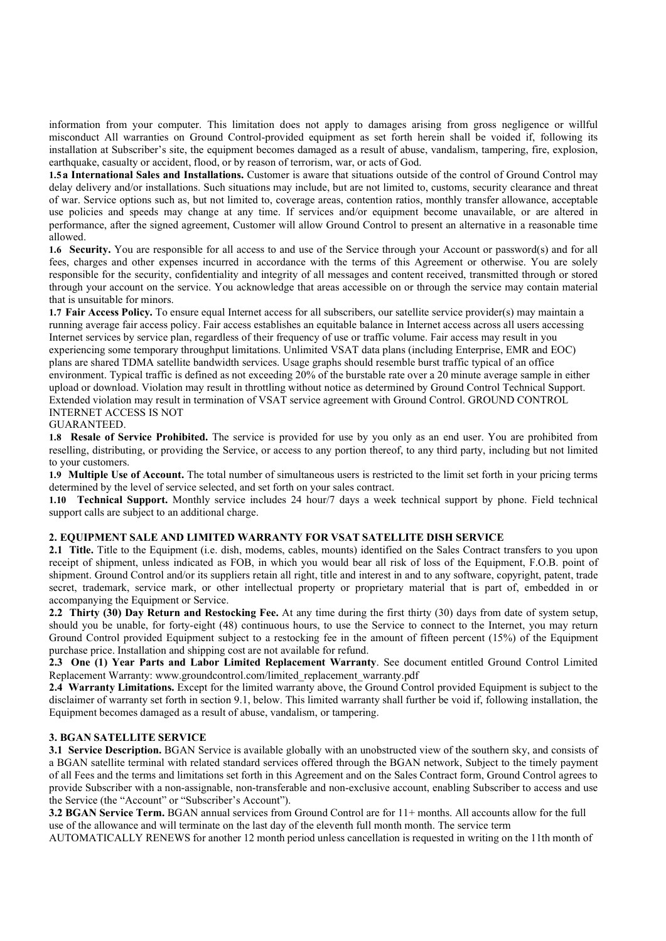information from your computer. This limitation does not apply to damages arising from gross negligence or willful misconduct All warranties on Ground Control-provided equipment as set forth herein shall be voided if, following its installation at Subscriber's site, the equipment becomes damaged as a result of abuse, vandalism, tampering, fire, explosion, earthquake, casualty or accident, flood, or by reason of terrorism, war, or acts of God.

1.5 a International Sales and Installations. Customer is aware that situations outside of the control of Ground Control may delay delivery and/or installations. Such situations may include, but are not limited to, customs, security clearance and threat of war. Service options such as, but not limited to, coverage areas, contention ratios, monthly transfer allowance, acceptable use policies and speeds may change at any time. If services and/or equipment become unavailable, or are altered in performance, after the signed agreement, Customer will allow Ground Control to present an alternative in a reasonable time allowed.

1.6 Security. You are responsible for all access to and use of the Service through your Account or password(s) and for all fees, charges and other expenses incurred in accordance with the terms of this Agreement or otherwise. You are solely responsible for the security, confidentiality and integrity of all messages and content received, transmitted through or stored through your account on the service. You acknowledge that areas accessible on or through the service may contain material that is unsuitable for minors.

1.7 Fair Access Policy. To ensure equal Internet access for all subscribers, our satellite service provider(s) may maintain a running average fair access policy. Fair access establishes an equitable balance in Internet access across all users accessing Internet services by service plan, regardless of their frequency of use or traffic volume. Fair access may result in you experiencing some temporary throughput limitations. Unlimited VSAT data plans (including Enterprise, EMR and EOC) plans are shared TDMA satellite bandwidth services. Usage graphs should resemble burst traffic typical of an office environment. Typical traffic is defined as not exceeding 20% of the burstable rate over a 20 minute average sample in either upload or download. Violation may result in throttling without notice as determined by Ground Control Technical Support. Extended violation may result in termination of VSAT service agreement with Ground Control. GROUND CONTROL INTERNET ACCESS IS NOT

# GUARANTEED.

1.8 Resale of Service Prohibited. The service is provided for use by you only as an end user. You are prohibited from reselling, distributing, or providing the Service, or access to any portion thereof, to any third party, including but not limited to your customers.

1.9 Multiple Use of Account. The total number of simultaneous users is restricted to the limit set forth in your pricing terms determined by the level of service selected, and set forth on your sales contract.

1.10 Technical Support. Monthly service includes 24 hour/7 days a week technical support by phone. Field technical support calls are subject to an additional charge.

# 2. EQUIPMENT SALE AND LIMITED WARRANTY FOR VSAT SATELLITE DISH SERVICE

2.1 Title. Title to the Equipment (i.e. dish, modems, cables, mounts) identified on the Sales Contract transfers to you upon receipt of shipment, unless indicated as FOB, in which you would bear all risk of loss of the Equipment, F.O.B. point of shipment. Ground Control and/or its suppliers retain all right, title and interest in and to any software, copyright, patent, trade secret, trademark, service mark, or other intellectual property or proprietary material that is part of, embedded in or accompanying the Equipment or Service.

2.2 Thirty (30) Day Return and Restocking Fee. At any time during the first thirty (30) days from date of system setup, should you be unable, for forty-eight (48) continuous hours, to use the Service to connect to the Internet, you may return Ground Control provided Equipment subject to a restocking fee in the amount of fifteen percent (15%) of the Equipment purchase price. Installation and shipping cost are not available for refund.

2.3 One (1) Year Parts and Labor Limited Replacement Warranty. See document entitled Ground Control Limited Replacement Warranty: www.groundcontrol.com/limited\_replacement\_warranty.pdf

2.4 Warranty Limitations. Except for the limited warranty above, the Ground Control provided Equipment is subject to the disclaimer of warranty set forth in section 9.1, below. This limited warranty shall further be void if, following installation, the Equipment becomes damaged as a result of abuse, vandalism, or tampering.

#### 3. BGAN SATELLITE SERVICE

3.1 Service Description. BGAN Service is available globally with an unobstructed view of the southern sky, and consists of a BGAN satellite terminal with related standard services offered through the BGAN network, Subject to the timely payment of all Fees and the terms and limitations set forth in this Agreement and on the Sales Contract form, Ground Control agrees to provide Subscriber with a non-assignable, non-transferable and non-exclusive account, enabling Subscriber to access and use the Service (the "Account" or "Subscriber's Account").

3.2 BGAN Service Term. BGAN annual services from Ground Control are for 11+ months. All accounts allow for the full use of the allowance and will terminate on the last day of the eleventh full month month. The service term

AUTOMATICALLY RENEWS for another 12 month period unless cancellation is requested in writing on the 11th month of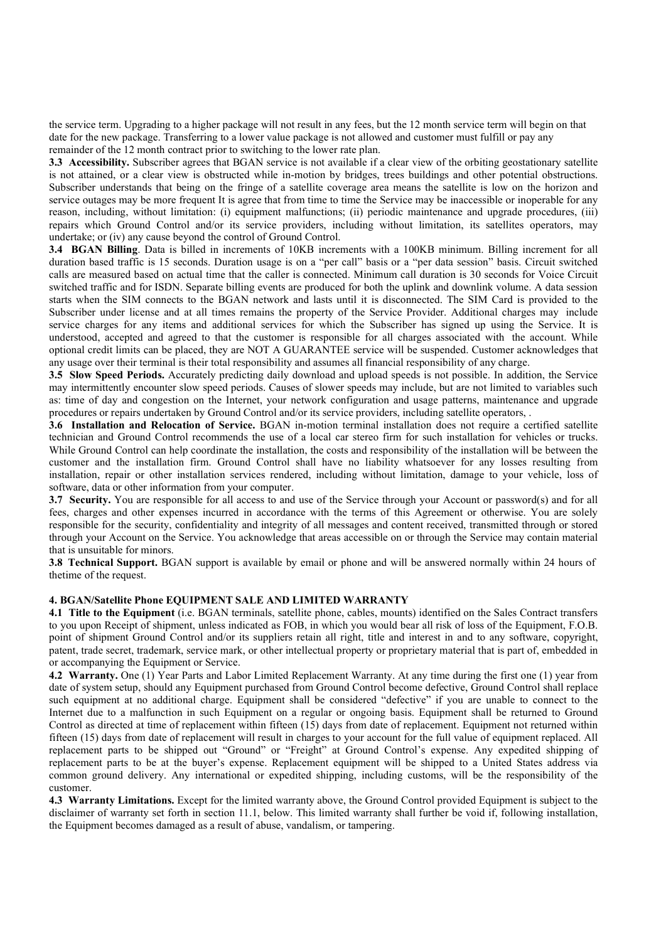the service term. Upgrading to a higher package will not result in any fees, but the 12 month service term will begin on that date for the new package. Transferring to a lower value package is not allowed and customer must fulfill or pay any remainder of the 12 month contract prior to switching to the lower rate plan.

3.3 Accessibility. Subscriber agrees that BGAN service is not available if a clear view of the orbiting geostationary satellite is not attained, or a clear view is obstructed while in-motion by bridges, trees buildings and other potential obstructions. Subscriber understands that being on the fringe of a satellite coverage area means the satellite is low on the horizon and service outages may be more frequent It is agree that from time to time the Service may be inaccessible or inoperable for any reason, including, without limitation: (i) equipment malfunctions; (ii) periodic maintenance and upgrade procedures, (iii) repairs which Ground Control and/or its service providers, including without limitation, its satellites operators, may undertake; or (iv) any cause beyond the control of Ground Control.

3.4 BGAN Billing. Data is billed in increments of 10KB increments with a 100KB minimum. Billing increment for all duration based traffic is 15 seconds. Duration usage is on a "per call" basis or a "per data session" basis. Circuit switched calls are measured based on actual time that the caller is connected. Minimum call duration is 30 seconds for Voice Circuit switched traffic and for ISDN. Separate billing events are produced for both the uplink and downlink volume. A data session starts when the SIM connects to the BGAN network and lasts until it is disconnected. The SIM Card is provided to the Subscriber under license and at all times remains the property of the Service Provider. Additional charges may include service charges for any items and additional services for which the Subscriber has signed up using the Service. It is understood, accepted and agreed to that the customer is responsible for all charges associated with the account. While optional credit limits can be placed, they are NOT A GUARANTEE service will be suspended. Customer acknowledges that any usage over their terminal is their total responsibility and assumes all financial responsibility of any charge.

3.5 Slow Speed Periods. Accurately predicting daily download and upload speeds is not possible. In addition, the Service may intermittently encounter slow speed periods. Causes of slower speeds may include, but are not limited to variables such as: time of day and congestion on the Internet, your network configuration and usage patterns, maintenance and upgrade procedures or repairs undertaken by Ground Control and/or its service providers, including satellite operators, .

3.6 Installation and Relocation of Service. BGAN in-motion terminal installation does not require a certified satellite technician and Ground Control recommends the use of a local car stereo firm for such installation for vehicles or trucks. While Ground Control can help coordinate the installation, the costs and responsibility of the installation will be between the customer and the installation firm. Ground Control shall have no liability whatsoever for any losses resulting from installation, repair or other installation services rendered, including without limitation, damage to your vehicle, loss of software, data or other information from your computer.

3.7 Security. You are responsible for all access to and use of the Service through your Account or password(s) and for all fees, charges and other expenses incurred in accordance with the terms of this Agreement or otherwise. You are solely responsible for the security, confidentiality and integrity of all messages and content received, transmitted through or stored through your Account on the Service. You acknowledge that areas accessible on or through the Service may contain material that is unsuitable for minors.

3.8 Technical Support. BGAN support is available by email or phone and will be answered normally within 24 hours of the time of the request.

### 4. BGAN/Satellite Phone EQUIPMENT SALE AND LIMITED WARRANTY

4.1 Title to the Equipment (i.e. BGAN terminals, satellite phone, cables, mounts) identified on the Sales Contract transfers to you upon Receipt of shipment, unless indicated as FOB, in which you would bear all risk of loss of the Equipment, F.O.B. point of shipment Ground Control and/or its suppliers retain all right, title and interest in and to any software, copyright, patent, trade secret, trademark, service mark, or other intellectual property or proprietary material that is part of, embedded in or accompanying the Equipment or Service.

4.2 Warranty. One (1) Year Parts and Labor Limited Replacement Warranty. At any time during the first one (1) year from date of system setup, should any Equipment purchased from Ground Control become defective, Ground Control shall replace such equipment at no additional charge. Equipment shall be considered "defective" if you are unable to connect to the Internet due to a malfunction in such Equipment on a regular or ongoing basis. Equipment shall be returned to Ground Control as directed at time of replacement within fifteen (15) days from date of replacement. Equipment not returned within fifteen (15) days from date of replacement will result in charges to your account for the full value of equipment replaced. All replacement parts to be shipped out "Ground" or "Freight" at Ground Control's expense. Any expedited shipping of replacement parts to be at the buyer's expense. Replacement equipment will be shipped to a United States address via common ground delivery. Any international or expedited shipping, including customs, will be the responsibility of the customer.

4.3 Warranty Limitations. Except for the limited warranty above, the Ground Control provided Equipment is subject to the disclaimer of warranty set forth in section 11.1, below. This limited warranty shall further be void if, following installation, the Equipment becomes damaged as a result of abuse, vandalism, or tampering.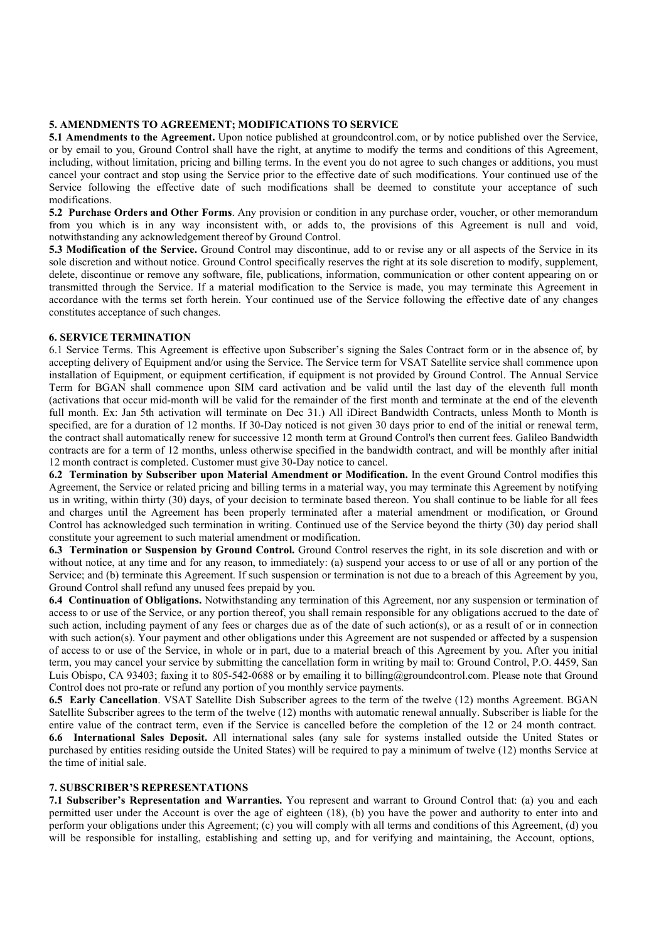# 5. AMENDMENTS TO AGREEMENT; MODIFICATIONS TO SERVICE

5.1 Amendments to the Agreement. Upon notice published at groundcontrol.com, or by notice published over the Service, or by email to you, Ground Control shall have the right, at anytime to modify the terms and conditions of this Agreement, including, without limitation, pricing and billing terms. In the event you do not agree to such changes or additions, you must cancel your contract and stop using the Service prior to the effective date of such modifications. Your continued use of the Service following the effective date of such modifications shall be deemed to constitute your acceptance of such modifications.

5.2 Purchase Orders and Other Forms. Any provision or condition in any purchase order, voucher, or other memorandum from you which is in any way inconsistent with, or adds to, the provisions of this Agreement is null and void, notwithstanding any acknowledgement thereof by Ground Control.

5.3 Modification of the Service. Ground Control may discontinue, add to or revise any or all aspects of the Service in its sole discretion and without notice. Ground Control specifically reserves the right at its sole discretion to modify, supplement, delete, discontinue or remove any software, file, publications, information, communication or other content appearing on or transmitted through the Service. If a material modification to the Service is made, you may terminate this Agreement in accordance with the terms set forth herein. Your continued use of the Service following the effective date of any changes constitutes acceptance of such changes.

# 6. SERVICE TERMINATION

6.1 Service Terms. This Agreement is effective upon Subscriber's signing the Sales Contract form or in the absence of, by accepting delivery of Equipment and/or using the Service. The Service term for VSAT Satellite service shall commence upon installation of Equipment, or equipment certification, if equipment is not provided by Ground Control. The Annual Service Term for BGAN shall commence upon SIM card activation and be valid until the last day of the eleventh full month (activations that occur mid-month will be valid for the remainder of the first month and terminate at the end of the eleventh full month. Ex: Jan 5th activation will terminate on Dec 31.) All iDirect Bandwidth Contracts, unless Month to Month is specified, are for a duration of 12 months. If 30-Day noticed is not given 30 days prior to end of the initial or renewal term, the contract shall automatically renew for successive 12 month term at Ground Control's then current fees. Galileo Bandwidth contracts are for a term of 12 months, unless otherwise specified in the bandwidth contract, and will be monthly after initial 12 month contract is completed. Customer must give 30-Day notice to cancel.

6.2 Termination by Subscriber upon Material Amendment or Modification. In the event Ground Control modifies this Agreement, the Service or related pricing and billing terms in a material way, you may terminate this Agreement by notifying us in writing, within thirty (30) days, of your decision to terminate based thereon. You shall continue to be liable for all fees and charges until the Agreement has been properly terminated after a material amendment or modification, or Ground Control has acknowledged such termination in writing. Continued use of the Service beyond the thirty (30) day period shall constitute your agreement to such material amendment or modification.

6.3 Termination or Suspension by Ground Control. Ground Control reserves the right, in its sole discretion and with or without notice, at any time and for any reason, to immediately: (a) suspend your access to or use of all or any portion of the Service; and (b) terminate this Agreement. If such suspension or termination is not due to a breach of this Agreement by you, Ground Control shall refund any unused fees prepaid by you.

6.4 Continuation of Obligations. Notwithstanding any termination of this Agreement, nor any suspension or termination of access to or use of the Service, or any portion thereof, you shall remain responsible for any obligations accrued to the date of such action, including payment of any fees or charges due as of the date of such action(s), or as a result of or in connection with such action(s). Your payment and other obligations under this Agreement are not suspended or affected by a suspension of access to or use of the Service, in whole or in part, due to a material breach of this Agreement by you. After you initial term, you may cancel your service by submitting the cancellation form in writing by mail to: Ground Control, P.O. 4459, San Luis Obispo, CA 93403; faxing it to 805-542-0688 or by emailing it to billing@groundcontrol.com. Please note that Ground Control does not pro-rate or refund any portion of you monthly service payments.

6.5 Early Cancellation. VSAT Satellite Dish Subscriber agrees to the term of the twelve (12) months Agreement. BGAN Satellite Subscriber agrees to the term of the twelve (12) months with automatic renewal annually. Subscriber is liable for the entire value of the contract term, even if the Service is cancelled before the completion of the 12 or 24 month contract. 6.6 International Sales Deposit. All international sales (any sale for systems installed outside the United States or purchased by entities residing outside the United States) will be required to pay a minimum of twelve (12) months Service at the time of initial sale.

# 7. SUBSCRIBER'S REPRESENTATIONS

7.1 Subscriber's Representation and Warranties. You represent and warrant to Ground Control that: (a) you and each permitted user under the Account is over the age of eighteen (18), (b) you have the power and authority to enter into and perform your obligations under this Agreement; (c) you will comply with all terms and conditions of this Agreement, (d) you will be responsible for installing, establishing and setting up, and for verifying and maintaining, the Account, options,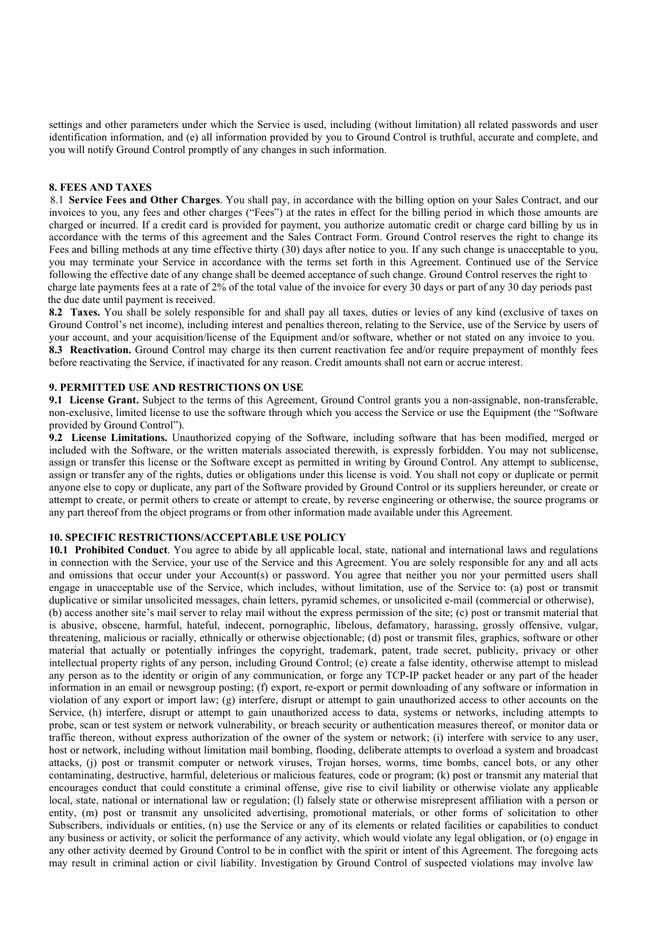settings and other parameters under which the Service is used, including (without limitation) all related passwords and user identification information, and (e) all information provided by you to Ground Control is truthful, accurate and complete, and you will notify Ground Control promptly of any changes in such information.

#### 8. FEES AND TAXES

8.1 Service Fees and Other Charges. You shall pay, in accordance with the billing option on your Sales Contract, and our invoices to you, any fees and other charges ("Fees") at the rates in effect for the billing period in which those amounts are charged or incurred. If a credit card is provided for payment, you authorize automatic credit or charge card billing by us in accordance with the terms of this agreement and the Sales Contract Form. Ground Control reserves the right to change its Fees and billing methods at any time effective thirty (30) days after notice to you. If any such change is unacceptable to you, you may terminate your Service in accordance with the terms set forth in this Agreement. Continued use of the Service following the effective date of any change shall be deemed acceptance of such change. Ground Control reserves the right to charge late payments fees at a rate of 2% of the total value of the invoice for every 30 days or part of any 30 day periods past the due date until payment is received.

8.2 Taxes. You shall be solely responsible for and shall pay all taxes, duties or levies of any kind (exclusive of taxes on Ground Control's net income), including interest and penalties thereon, relating to the Service, use of the Service by users of your account, and your acquisition/license of the Equipment and/or software, whether or not stated on any invoice to you. 8.3 Reactivation. Ground Control may charge its then current reactivation fee and/or require prepayment of monthly fees before reactivating the Service, if inactivated for any reason. Credit amounts shall not earn or accrue interest.

# 9. PERMITTED USE AND RESTRICTIONS ON USE

9.1 License Grant. Subject to the terms of this Agreement, Ground Control grants you a non-assignable, non-transferable, non-exclusive, limited license to use the software through which you access the Service or use the Equipment (the "Software provided by Ground Control").

9.2 License Limitations. Unauthorized copying of the Software, including software that has been modified, merged or included with the Software, or the written materials associated therewith, is expressly forbidden. You may not sublicense, assign or transfer this license or the Software except as permitted in writing by Ground Control. Any attempt to sublicense, assign or transfer any of the rights, duties or obligations under this license is void. You shall not copy or duplicate or permit anyone else to copy or duplicate, any part of the Software provided by Ground Control or its suppliers hereunder, or create or attempt to create, or permit others to create or attempt to create, by reverse engineering or otherwise, the source programs or any part thereof from the object programs or from other information made available under this Agreement.

### 10. SPECIFIC RESTRICTIONS/ACCEPTABLE USE POLICY

10.1 Prohibited Conduct. You agree to abide by all applicable local, state, national and international laws and regulations in connection with the Service, your use of the Service and this Agreement. You are solely responsible for any and all acts and omissions that occur under your Account(s) or password. You agree that neither you nor your permitted users shall engage in unacceptable use of the Service, which includes, without limitation, use of the Service to: (a) post or transmit duplicative or similar unsolicited messages, chain letters, pyramid schemes, or unsolicited e-mail (commercial or otherwise), (b) access another site's mail server to relay mail without the express permission of the site; (c) post or transmit material that is abusive, obscene, harmful, hateful, indecent, pornographic, libelous, defamatory, harassing, grossly offensive, vulgar, threatening, malicious or racially, ethnically or otherwise objectionable; (d) post or transmit files, graphics, software or other material that actually or potentially infringes the copyright, trademark, patent, trade secret, publicity, privacy or other intellectual property rights of any person, including Ground Control; (e) create a false identity, otherwise attempt to mislead any person as to the identity or origin of any communication, or forge any TCP-IP packet header or any part of the header information in an email or newsgroup posting; (f) export, re-export or permit downloading of any software or information in violation of any export or import law; (g) interfere, disrupt or attempt to gain unauthorized access to other accounts on the Service, (h) interfere, disrupt or attempt to gain unauthorized access to data, systems or networks, including attempts to probe, scan or test system or network vulnerability, or breach security or authentication measures thereof, or monitor data or traffic thereon, without express authorization of the owner of the system or network; (i) interfere with service to any user, host or network, including without limitation mail bombing, flooding, deliberate attempts to overload a system and broadcast attacks, (j) post or transmit computer or network viruses, Trojan horses, worms, time bombs, cancel bots, or any other contaminating, destructive, harmful, deleterious or malicious features, code or program; (k) post or transmit any material that encourages conduct that could constitute a criminal offense, give rise to civil liability or otherwise violate any applicable local, state, national or international law or regulation; (l) falsely state or otherwise misrepresent affiliation with a person or entity, (m) post or transmit any unsolicited advertising, promotional materials, or other forms of solicitation to other Subscribers, individuals or entities, (n) use the Service or any of its elements or related facilities or capabilities to conduct any business or activity, or solicit the performance of any activity, which would violate any legal obligation, or (o) engage in any other activity deemed by Ground Control to be in conflict with the spirit or intent of this Agreement. The foregoing acts may result in criminal action or civil liability. Investigation by Ground Control of suspected violations may involve law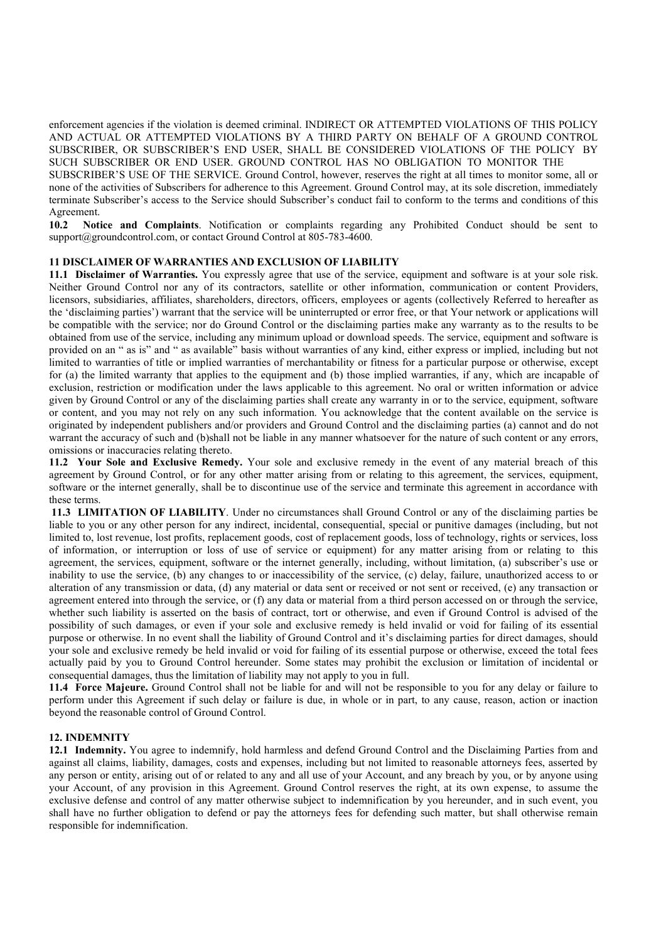enforcement agencies if the violation is deemed criminal. INDIRECT OR ATTEMPTED VIOLATIONS OF THIS POLICY AND ACTUAL OR ATTEMPTED VIOLATIONS BY A THIRD PARTY ON BEHALF OF A GROUND CONTROL SUBSCRIBER, OR SUBSCRIBER'S END USER, SHALL BE CONSIDERED VIOLATIONS OF THE POLICY BY SUCH SUBSCRIBER OR END USER. GROUND CONTROL HAS NO OBLIGATION TO MONITOR THE

SUBSCRIBER'S USE OF THE SERVICE. Ground Control, however, reserves the right at all times to monitor some, all or none of the activities of Subscribers for adherence to this Agreement. Ground Control may, at its sole discretion, immediately terminate Subscriber's access to the Service should Subscriber's conduct fail to conform to the terms and conditions of this Agreement.

10.2 Notice and Complaints. Notification or complaints regarding any Prohibited Conduct should be sent to support@groundcontrol.com, or contact Ground Control at 805-783-4600.

### 11 DISCLAIMER OF WARRANTIES AND EXCLUSION OF LIABILITY

11.1 Disclaimer of Warranties. You expressly agree that use of the service, equipment and software is at your sole risk. Neither Ground Control nor any of its contractors, satellite or other information, communication or content Providers, licensors, subsidiaries, affiliates, shareholders, directors, officers, employees or agents (collectively Referred to hereafter as the 'disclaiming parties') warrant that the service will be uninterrupted or error free, or that Your network or applications will be compatible with the service; nor do Ground Control or the disclaiming parties make any warranty as to the results to be obtained from use of the service, including any minimum upload or download speeds. The service, equipment and software is provided on an " as is" and " as available" basis without warranties of any kind, either express or implied, including but not limited to warranties of title or implied warranties of merchantability or fitness for a particular purpose or otherwise, except for (a) the limited warranty that applies to the equipment and (b) those implied warranties, if any, which are incapable of exclusion, restriction or modification under the laws applicable to this agreement. No oral or written information or advice given by Ground Control or any of the disclaiming parties shall create any warranty in or to the service, equipment, software or content, and you may not rely on any such information. You acknowledge that the content available on the service is originated by independent publishers and/or providers and Ground Control and the disclaiming parties (a) cannot and do not warrant the accuracy of such and (b)shall not be liable in any manner whatsoever for the nature of such content or any errors, omissions or inaccuracies relating thereto.

11.2 Your Sole and Exclusive Remedy. Your sole and exclusive remedy in the event of any material breach of this agreement by Ground Control, or for any other matter arising from or relating to this agreement, the services, equipment, software or the internet generally, shall be to discontinue use of the service and terminate this agreement in accordance with these terms.

11.3 LIMITATION OF LIABILITY. Under no circumstances shall Ground Control or any of the disclaiming parties be liable to you or any other person for any indirect, incidental, consequential, special or punitive damages (including, but not limited to, lost revenue, lost profits, replacement goods, cost of replacement goods, loss of technology, rights or services, loss of information, or interruption or loss of use of service or equipment) for any matter arising from or relating to this agreement, the services, equipment, software or the internet generally, including, without limitation, (a) subscriber's use or inability to use the service, (b) any changes to or inaccessibility of the service, (c) delay, failure, unauthorized access to or alteration of any transmission or data, (d) any material or data sent or received or not sent or received, (e) any transaction or agreement entered into through the service, or (f) any data or material from a third person accessed on or through the service, whether such liability is asserted on the basis of contract, tort or otherwise, and even if Ground Control is advised of the possibility of such damages, or even if your sole and exclusive remedy is held invalid or void for failing of its essential purpose or otherwise. In no event shall the liability of Ground Control and it's disclaiming parties for direct damages, should your sole and exclusive remedy be held invalid or void for failing of its essential purpose or otherwise, exceed the total fees actually paid by you to Ground Control hereunder. Some states may prohibit the exclusion or limitation of incidental or consequential damages, thus the limitation of liability may not apply to you in full.

11.4 Force Majeure. Ground Control shall not be liable for and will not be responsible to you for any delay or failure to perform under this Agreement if such delay or failure is due, in whole or in part, to any cause, reason, action or inaction beyond the reasonable control of Ground Control.

#### 12. INDEMNITY

12.1 Indemnity. You agree to indemnify, hold harmless and defend Ground Control and the Disclaiming Parties from and against all claims, liability, damages, costs and expenses, including but not limited to reasonable attorneys fees, asserted by any person or entity, arising out of or related to any and all use of your Account, and any breach by you, or by anyone using your Account, of any provision in this Agreement. Ground Control reserves the right, at its own expense, to assume the exclusive defense and control of any matter otherwise subject to indemnification by you hereunder, and in such event, you shall have no further obligation to defend or pay the attorneys fees for defending such matter, but shall otherwise remain responsible for indemnification.